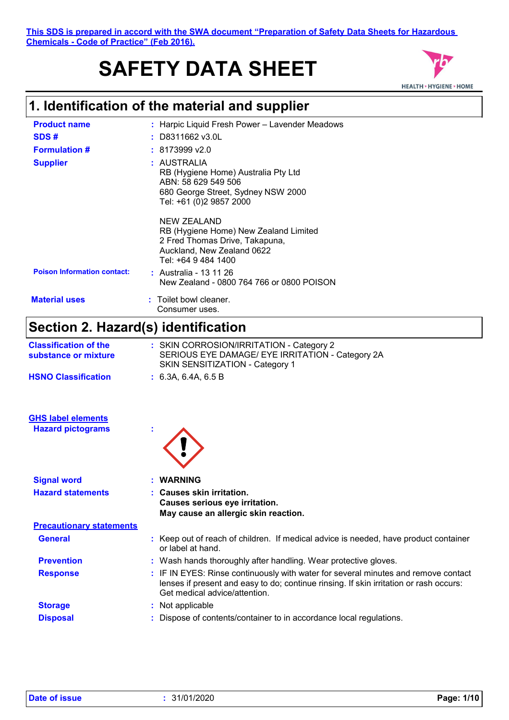# **SAFETY DATA SHEET**



## **1. Identification of the material and supplier**

| <b>Product name</b>                                  | Harpic Liquid Fresh Power - Lavender Meadows                                                                                                                                                                  |
|------------------------------------------------------|---------------------------------------------------------------------------------------------------------------------------------------------------------------------------------------------------------------|
| SDS#                                                 | D8311662 v3.0L                                                                                                                                                                                                |
| <b>Formulation #</b>                                 | $: 8173999$ v2.0                                                                                                                                                                                              |
| <b>Supplier</b>                                      | : AUSTRALIA<br>RB (Hygiene Home) Australia Pty Ltd<br>ABN: 58 629 549 506<br>680 George Street, Sydney NSW 2000<br>Tel: +61 (0)2 9857 2000                                                                    |
|                                                      | <b>NEW ZEALAND</b><br>RB (Hygiene Home) New Zealand Limited<br>2 Fred Thomas Drive, Takapuna,<br>Auckland, New Zealand 0622<br>Tel: +64 9 484 1400                                                            |
| <b>Poison Information contact:</b>                   | : Australia - 13 11 26<br>New Zealand - 0800 764 766 or 0800 POISON                                                                                                                                           |
| <b>Material uses</b>                                 | : Toilet bowl cleaner.<br>Consumer uses.                                                                                                                                                                      |
| Section 2. Hazard(s) identification                  |                                                                                                                                                                                                               |
| <b>Classification of the</b><br>substance or mixture | : SKIN CORROSION/IRRITATION - Category 2<br>SERIOUS EYE DAMAGE/ EYE IRRITATION - Category 2A<br>SKIN SENSITIZATION - Category 1                                                                               |
| <b>HSNO Classification</b>                           | : 6.3A, 6.4A, 6.5B                                                                                                                                                                                            |
| <b>GHS label elements</b>                            |                                                                                                                                                                                                               |
| <b>Hazard pictograms</b>                             |                                                                                                                                                                                                               |
|                                                      |                                                                                                                                                                                                               |
| <b>Signal word</b>                                   | <b>WARNING</b>                                                                                                                                                                                                |
| <b>Hazard statements</b>                             | : Causes skin irritation.<br>Causes serious eye irritation.<br>May cause an allergic skin reaction.                                                                                                           |
| <b>Precautionary statements</b>                      |                                                                                                                                                                                                               |
| <b>General</b>                                       | : Keep out of reach of children. If medical advice is needed, have product container<br>or label at hand.                                                                                                     |
| <b>Prevention</b>                                    | : Wash hands thoroughly after handling. Wear protective gloves.                                                                                                                                               |
| <b>Response</b>                                      | : IF IN EYES: Rinse continuously with water for several minutes and remove contact<br>lenses if present and easy to do; continue rinsing. If skin irritation or rash occurs:<br>Get medical advice/attention. |
| <b>Storage</b>                                       | : Not applicable                                                                                                                                                                                              |
| <b>Disposal</b>                                      | : Dispose of contents/container to in accordance local regulations.                                                                                                                                           |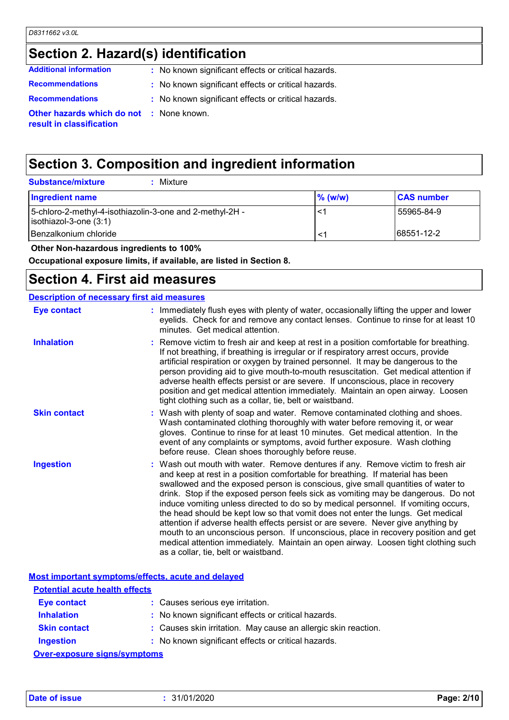## **Section 2. Hazard(s) identification**

| <b>Additional information</b>                                               | : No known significant effects or critical hazards. |
|-----------------------------------------------------------------------------|-----------------------------------------------------|
| <b>Recommendations</b>                                                      | : No known significant effects or critical hazards. |
| <b>Recommendations</b>                                                      | : No known significant effects or critical hazards. |
| <b>Other hazards which do not : None known.</b><br>result in classification |                                                     |

## **Section 3. Composition and ingredient information**

| <b>Substance/mixture</b><br>Mixture                                                        |            |                   |
|--------------------------------------------------------------------------------------------|------------|-------------------|
| Ingredient name                                                                            | $\%$ (w/w) | <b>CAS number</b> |
| 5-chloro-2-methyl-4-isothiazolin-3-one and 2-methyl-2H -<br>$\vert$ isothiazol-3-one (3:1) | $\prec$    | 55965-84-9        |
| Benzalkonium chloride                                                                      | $\lt'$     | 68551-12-2        |
|                                                                                            |            |                   |

 **Other Non-hazardous ingredients to 100%**

**Occupational exposure limits, if available, are listed in Section 8.**

#### **Section 4. First aid measures**

#### **Description of necessary first aid measures**

| Eye contact         | : Immediately flush eyes with plenty of water, occasionally lifting the upper and lower<br>eyelids. Check for and remove any contact lenses. Continue to rinse for at least 10<br>minutes. Get medical attention.                                                                                                                                                                                                                                                                                                                                                                                                                                                                                                                                                                                                            |
|---------------------|------------------------------------------------------------------------------------------------------------------------------------------------------------------------------------------------------------------------------------------------------------------------------------------------------------------------------------------------------------------------------------------------------------------------------------------------------------------------------------------------------------------------------------------------------------------------------------------------------------------------------------------------------------------------------------------------------------------------------------------------------------------------------------------------------------------------------|
| <b>Inhalation</b>   | : Remove victim to fresh air and keep at rest in a position comfortable for breathing.<br>If not breathing, if breathing is irregular or if respiratory arrest occurs, provide<br>artificial respiration or oxygen by trained personnel. It may be dangerous to the<br>person providing aid to give mouth-to-mouth resuscitation. Get medical attention if<br>adverse health effects persist or are severe. If unconscious, place in recovery<br>position and get medical attention immediately. Maintain an open airway. Loosen<br>tight clothing such as a collar, tie, belt or waistband.                                                                                                                                                                                                                                 |
| <b>Skin contact</b> | : Wash with plenty of soap and water. Remove contaminated clothing and shoes.<br>Wash contaminated clothing thoroughly with water before removing it, or wear<br>gloves. Continue to rinse for at least 10 minutes. Get medical attention. In the<br>event of any complaints or symptoms, avoid further exposure. Wash clothing<br>before reuse. Clean shoes thoroughly before reuse.                                                                                                                                                                                                                                                                                                                                                                                                                                        |
| <b>Ingestion</b>    | : Wash out mouth with water. Remove dentures if any. Remove victim to fresh air<br>and keep at rest in a position comfortable for breathing. If material has been<br>swallowed and the exposed person is conscious, give small quantities of water to<br>drink. Stop if the exposed person feels sick as vomiting may be dangerous. Do not<br>induce vomiting unless directed to do so by medical personnel. If vomiting occurs,<br>the head should be kept low so that vomit does not enter the lungs. Get medical<br>attention if adverse health effects persist or are severe. Never give anything by<br>mouth to an unconscious person. If unconscious, place in recovery position and get<br>medical attention immediately. Maintain an open airway. Loosen tight clothing such<br>as a collar, tie, belt or waistband. |

|                                       | Most important symptoms/effects, acute and delayed             |  |
|---------------------------------------|----------------------------------------------------------------|--|
| <b>Potential acute health effects</b> |                                                                |  |
| <b>Eye contact</b>                    | : Causes serious eye irritation.                               |  |
| <b>Inhalation</b>                     | : No known significant effects or critical hazards.            |  |
| <b>Skin contact</b>                   | : Causes skin irritation. May cause an allergic skin reaction. |  |
| <b>Ingestion</b>                      | : No known significant effects or critical hazards.            |  |
| Over-exposure sinns/symptoms          |                                                                |  |

**Over-exposure signs/symptoms**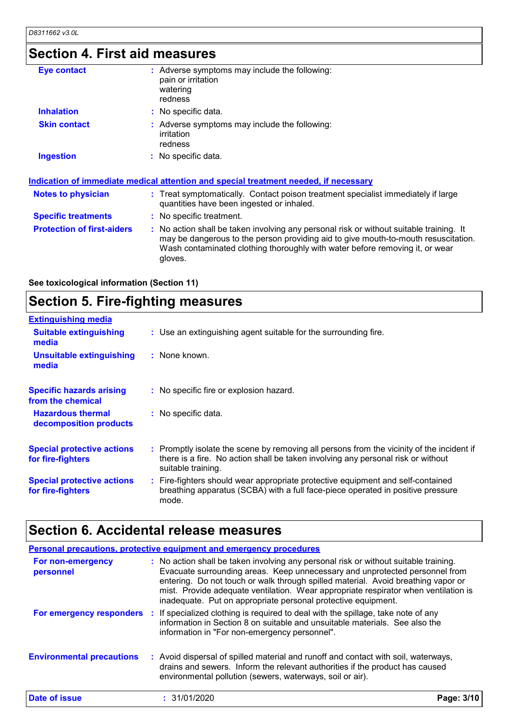## **Section 4. First aid measures**

| <b>Eye contact</b>                | : Adverse symptoms may include the following:<br>pain or irritation<br>watering<br>redness                                                                                                                                                                               |
|-----------------------------------|--------------------------------------------------------------------------------------------------------------------------------------------------------------------------------------------------------------------------------------------------------------------------|
| <b>Inhalation</b>                 | : No specific data.                                                                                                                                                                                                                                                      |
| <b>Skin contact</b>               | : Adverse symptoms may include the following:<br>irritation<br>redness                                                                                                                                                                                                   |
| <b>Ingestion</b>                  | : No specific data.                                                                                                                                                                                                                                                      |
|                                   | <u>Indication of immediate medical attention and special treatment needed, if necessary</u>                                                                                                                                                                              |
| <b>Notes to physician</b>         | : Treat symptomatically. Contact poison treatment specialist immediately if large<br>quantities have been ingested or inhaled.                                                                                                                                           |
| <b>Specific treatments</b>        | : No specific treatment.                                                                                                                                                                                                                                                 |
| <b>Protection of first-aiders</b> | : No action shall be taken involving any personal risk or without suitable training. It<br>may be dangerous to the person providing aid to give mouth-to-mouth resuscitation.<br>Wash contaminated clothing thoroughly with water before removing it, or wear<br>gloves. |
|                                   |                                                                                                                                                                                                                                                                          |

**See toxicological information (Section 11)**

## **Section 5. Fire-fighting measures**

| <b>Extinguishing media</b>                             |                                                                                                                                                                                                     |
|--------------------------------------------------------|-----------------------------------------------------------------------------------------------------------------------------------------------------------------------------------------------------|
| <b>Suitable extinguishing</b><br>media                 | : Use an extinguishing agent suitable for the surrounding fire.                                                                                                                                     |
| <b>Unsuitable extinguishing</b><br>media               | $:$ None known.                                                                                                                                                                                     |
| <b>Specific hazards arising</b><br>from the chemical   | : No specific fire or explosion hazard.                                                                                                                                                             |
| <b>Hazardous thermal</b><br>decomposition products     | : No specific data.                                                                                                                                                                                 |
| <b>Special protective actions</b><br>for fire-fighters | : Promptly isolate the scene by removing all persons from the vicinity of the incident if<br>there is a fire. No action shall be taken involving any personal risk or without<br>suitable training. |
| <b>Special protective actions</b><br>for fire-fighters | : Fire-fighters should wear appropriate protective equipment and self-contained<br>breathing apparatus (SCBA) with a full face-piece operated in positive pressure<br>mode.                         |

## **Section 6. Accidental release measures**

|                                  | Personal precautions, protective equipment and emergency procedures                                                                                                                                                                                                                                                                                                                                              |            |
|----------------------------------|------------------------------------------------------------------------------------------------------------------------------------------------------------------------------------------------------------------------------------------------------------------------------------------------------------------------------------------------------------------------------------------------------------------|------------|
| For non-emergency<br>personnel   | : No action shall be taken involving any personal risk or without suitable training.<br>Evacuate surrounding areas. Keep unnecessary and unprotected personnel from<br>entering. Do not touch or walk through spilled material. Avoid breathing vapor or<br>mist. Provide adequate ventilation. Wear appropriate respirator when ventilation is<br>inadequate. Put on appropriate personal protective equipment. |            |
| For emergency responders         | : If specialized clothing is required to deal with the spillage, take note of any<br>information in Section 8 on suitable and unsuitable materials. See also the<br>information in "For non-emergency personnel".                                                                                                                                                                                                |            |
| <b>Environmental precautions</b> | : Avoid dispersal of spilled material and runoff and contact with soil, waterways,<br>drains and sewers. Inform the relevant authorities if the product has caused<br>environmental pollution (sewers, waterways, soil or air).                                                                                                                                                                                  |            |
| Date of issue                    | : 31/01/2020                                                                                                                                                                                                                                                                                                                                                                                                     | Page: 3/10 |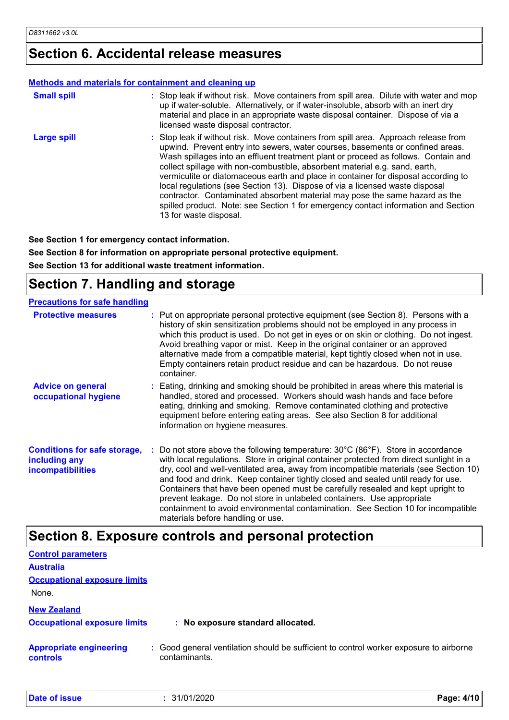### **Section 6. Accidental release measures**

#### **Methods and materials for containment and cleaning up**

| <b>Small spill</b> | : Stop leak if without risk. Move containers from spill area. Dilute with water and mop<br>up if water-soluble. Alternatively, or if water-insoluble, absorb with an inert dry<br>material and place in an appropriate waste disposal container. Dispose of via a<br>licensed waste disposal contractor.                                                                                                                                                                                                                                                                                                                                                                                                        |
|--------------------|-----------------------------------------------------------------------------------------------------------------------------------------------------------------------------------------------------------------------------------------------------------------------------------------------------------------------------------------------------------------------------------------------------------------------------------------------------------------------------------------------------------------------------------------------------------------------------------------------------------------------------------------------------------------------------------------------------------------|
| <b>Large spill</b> | : Stop leak if without risk. Move containers from spill area. Approach release from<br>upwind. Prevent entry into sewers, water courses, basements or confined areas.<br>Wash spillages into an effluent treatment plant or proceed as follows. Contain and<br>collect spillage with non-combustible, absorbent material e.g. sand, earth,<br>vermiculite or diatomaceous earth and place in container for disposal according to<br>local regulations (see Section 13). Dispose of via a licensed waste disposal<br>contractor. Contaminated absorbent material may pose the same hazard as the<br>spilled product. Note: see Section 1 for emergency contact information and Section<br>13 for waste disposal. |

**See Section 1 for emergency contact information.**

**See Section 8 for information on appropriate personal protective equipment.**

**See Section 13 for additional waste treatment information.**

### **Section 7. Handling and storage**

| <b>Precautions for safe handling</b>                                             |                                                                                                                                                                                                                                                                                                                                                                                                                                                                                                                                                                                                                                                                     |
|----------------------------------------------------------------------------------|---------------------------------------------------------------------------------------------------------------------------------------------------------------------------------------------------------------------------------------------------------------------------------------------------------------------------------------------------------------------------------------------------------------------------------------------------------------------------------------------------------------------------------------------------------------------------------------------------------------------------------------------------------------------|
| <b>Protective measures</b>                                                       | : Put on appropriate personal protective equipment (see Section 8). Persons with a<br>history of skin sensitization problems should not be employed in any process in<br>which this product is used. Do not get in eyes or on skin or clothing. Do not ingest.<br>Avoid breathing vapor or mist. Keep in the original container or an approved<br>alternative made from a compatible material, kept tightly closed when not in use.<br>Empty containers retain product residue and can be hazardous. Do not reuse<br>container.                                                                                                                                     |
| <b>Advice on general</b><br>occupational hygiene                                 | : Eating, drinking and smoking should be prohibited in areas where this material is<br>handled, stored and processed. Workers should wash hands and face before<br>eating, drinking and smoking. Remove contaminated clothing and protective<br>equipment before entering eating areas. See also Section 8 for additional<br>information on hygiene measures.                                                                                                                                                                                                                                                                                                       |
| <b>Conditions for safe storage,</b><br>including any<br><b>incompatibilities</b> | Do not store above the following temperature: $30^{\circ}$ C (86 $^{\circ}$ F). Store in accordance<br>with local regulations. Store in original container protected from direct sunlight in a<br>dry, cool and well-ventilated area, away from incompatible materials (see Section 10)<br>and food and drink. Keep container tightly closed and sealed until ready for use.<br>Containers that have been opened must be carefully resealed and kept upright to<br>prevent leakage. Do not store in unlabeled containers. Use appropriate<br>containment to avoid environmental contamination. See Section 10 for incompatible<br>materials before handling or use. |

#### **Section 8. Exposure controls and personal protection**

| <b>Control parameters</b>                  |                                                                                                         |            |
|--------------------------------------------|---------------------------------------------------------------------------------------------------------|------------|
| <b>Australia</b>                           |                                                                                                         |            |
| <b>Occupational exposure limits</b>        |                                                                                                         |            |
| None.                                      |                                                                                                         |            |
| <b>New Zealand</b>                         |                                                                                                         |            |
| <b>Occupational exposure limits</b>        | : No exposure standard allocated.                                                                       |            |
| <b>Appropriate engineering</b><br>controls | : Good general ventilation should be sufficient to control worker exposure to airborne<br>contaminants. |            |
| Date of issue                              | : 31/01/2020                                                                                            | Page: 4/10 |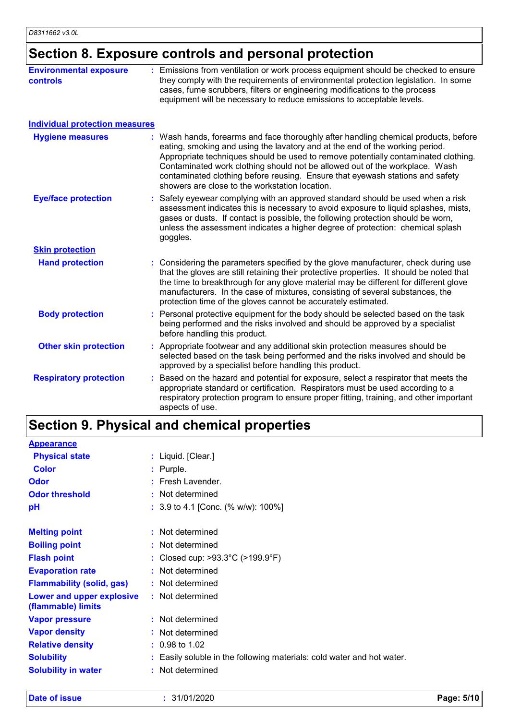## **Section 8. Exposure controls and personal protection**

| <b>Environmental exposure</b><br><b>controls</b> | : Emissions from ventilation or work process equipment should be checked to ensure<br>they comply with the requirements of environmental protection legislation. In some<br>cases, fume scrubbers, filters or engineering modifications to the process<br>equipment will be necessary to reduce emissions to acceptable levels.                                                                                                                                             |
|--------------------------------------------------|-----------------------------------------------------------------------------------------------------------------------------------------------------------------------------------------------------------------------------------------------------------------------------------------------------------------------------------------------------------------------------------------------------------------------------------------------------------------------------|
| <b>Individual protection measures</b>            |                                                                                                                                                                                                                                                                                                                                                                                                                                                                             |
| <b>Hygiene measures</b>                          | : Wash hands, forearms and face thoroughly after handling chemical products, before<br>eating, smoking and using the lavatory and at the end of the working period.<br>Appropriate techniques should be used to remove potentially contaminated clothing.<br>Contaminated work clothing should not be allowed out of the workplace. Wash<br>contaminated clothing before reusing. Ensure that eyewash stations and safety<br>showers are close to the workstation location. |
| <b>Eye/face protection</b>                       | : Safety eyewear complying with an approved standard should be used when a risk<br>assessment indicates this is necessary to avoid exposure to liquid splashes, mists,<br>gases or dusts. If contact is possible, the following protection should be worn,<br>unless the assessment indicates a higher degree of protection: chemical splash<br>goggles.                                                                                                                    |
| <b>Skin protection</b>                           |                                                                                                                                                                                                                                                                                                                                                                                                                                                                             |
| <b>Hand protection</b>                           | Considering the parameters specified by the glove manufacturer, check during use<br>that the gloves are still retaining their protective properties. It should be noted that<br>the time to breakthrough for any glove material may be different for different glove<br>manufacturers. In the case of mixtures, consisting of several substances, the<br>protection time of the gloves cannot be accurately estimated.                                                      |
| <b>Body protection</b>                           | : Personal protective equipment for the body should be selected based on the task<br>being performed and the risks involved and should be approved by a specialist<br>before handling this product.                                                                                                                                                                                                                                                                         |
| <b>Other skin protection</b>                     | : Appropriate footwear and any additional skin protection measures should be<br>selected based on the task being performed and the risks involved and should be<br>approved by a specialist before handling this product.                                                                                                                                                                                                                                                   |
| <b>Respiratory protection</b>                    | Based on the hazard and potential for exposure, select a respirator that meets the<br>appropriate standard or certification. Respirators must be used according to a<br>respiratory protection program to ensure proper fitting, training, and other important<br>aspects of use.                                                                                                                                                                                           |

## **Section 9. Physical and chemical properties**

| <b>Appearance</b>                               |                                                                        |
|-------------------------------------------------|------------------------------------------------------------------------|
| <b>Physical state</b>                           | : Liquid. [Clear.]                                                     |
| <b>Color</b>                                    | : Purple.                                                              |
| <b>Odor</b>                                     | $:$ Fresh Lavender.                                                    |
| <b>Odor threshold</b>                           | : Not determined                                                       |
| рH                                              | : 3.9 to 4.1 [Conc. (% w/w): 100%]                                     |
| <b>Melting point</b>                            | : Not determined                                                       |
| <b>Boiling point</b>                            | : Not determined                                                       |
| <b>Flash point</b>                              | : Closed cup: $>93.3^{\circ}$ C ( $>199.9^{\circ}$ F)                  |
| <b>Evaporation rate</b>                         | : Not determined                                                       |
| <b>Flammability (solid, gas)</b>                | : Not determined                                                       |
| Lower and upper explosive<br>(flammable) limits | : Not determined                                                       |
| <b>Vapor pressure</b>                           | : Not determined                                                       |
| <b>Vapor density</b>                            | : Not determined                                                       |
| <b>Relative density</b>                         | $: 0.98$ to 1.02                                                       |
| <b>Solubility</b>                               | : Easily soluble in the following materials: cold water and hot water. |
| <b>Solubility in water</b>                      | : Not determined                                                       |

**Appearance**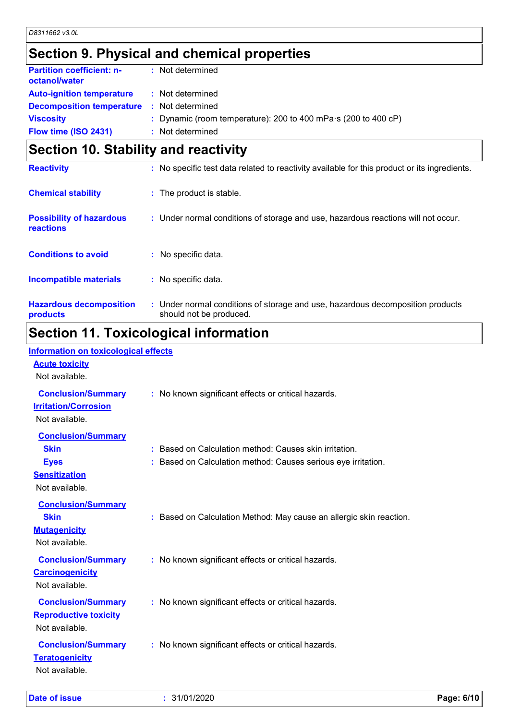## **Section 9. Physical and chemical properties**

| <b>Partition coefficient: n-</b><br>octanol/water | : Not determined                                                       |
|---------------------------------------------------|------------------------------------------------------------------------|
| <b>Auto-ignition temperature</b>                  | : Not determined                                                       |
| <b>Decomposition temperature</b>                  | : Not determined                                                       |
| <b>Viscosity</b>                                  | : Dynamic (room temperature): 200 to 400 mPa $\cdot$ s (200 to 400 cP) |
| Flow time (ISO 2431)                              | : Not determined                                                       |
|                                                   |                                                                        |

## **Section 10. Stability and reactivity**

| <b>Reactivity</b>                                   | : No specific test data related to reactivity available for this product or its ingredients.              |
|-----------------------------------------------------|-----------------------------------------------------------------------------------------------------------|
| <b>Chemical stability</b>                           | : The product is stable.                                                                                  |
| <b>Possibility of hazardous</b><br><b>reactions</b> | : Under normal conditions of storage and use, hazardous reactions will not occur.                         |
| <b>Conditions to avoid</b>                          | : No specific data.                                                                                       |
| <b>Incompatible materials</b>                       | : No specific data.                                                                                       |
| <b>Hazardous decomposition</b><br>products          | : Under normal conditions of storage and use, hazardous decomposition products<br>should not be produced. |
|                                                     |                                                                                                           |

### **Section 11. Toxicological information Information on toxicological effects**

| <u>Information on toxicological effects</u>                                     |                                                                                                                         |
|---------------------------------------------------------------------------------|-------------------------------------------------------------------------------------------------------------------------|
| <b>Acute toxicity</b><br>Not available.                                         |                                                                                                                         |
| <b>Conclusion/Summary</b><br><b>Irritation/Corrosion</b><br>Not available.      | : No known significant effects or critical hazards.                                                                     |
| <b>Conclusion/Summary</b><br><b>Skin</b><br><b>Eyes</b><br><b>Sensitization</b> | : Based on Calculation method: Causes skin irritation.<br>: Based on Calculation method: Causes serious eye irritation. |
| Not available.<br><b>Conclusion/Summary</b><br><b>Skin</b>                      | : Based on Calculation Method: May cause an allergic skin reaction.                                                     |
| <b>Mutagenicity</b><br>Not available.                                           |                                                                                                                         |
| <b>Conclusion/Summary</b><br><b>Carcinogenicity</b><br>Not available.           | : No known significant effects or critical hazards.                                                                     |
| <b>Conclusion/Summary</b><br><b>Reproductive toxicity</b><br>Not available.     | : No known significant effects or critical hazards.                                                                     |
| <b>Conclusion/Summary</b><br><b>Teratogenicity</b><br>Not available.            | : No known significant effects or critical hazards.                                                                     |

**Date of issue :** 31/01/2020 **Page: 6/10**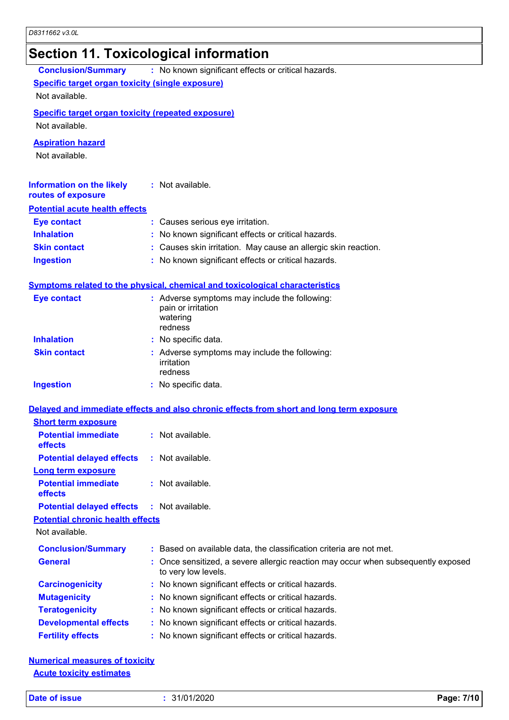### **Section 11. Toxicological information**

|                                                                                      | .                                                                                                      |
|--------------------------------------------------------------------------------------|--------------------------------------------------------------------------------------------------------|
| <b>Conclusion/Summary</b><br><b>Specific target organ toxicity (single exposure)</b> | : No known significant effects or critical hazards.                                                    |
| Not available.                                                                       |                                                                                                        |
| <b>Specific target organ toxicity (repeated exposure)</b><br>Not available.          |                                                                                                        |
| <b>Aspiration hazard</b><br>Not available.                                           |                                                                                                        |
| <b>Information on the likely</b><br>routes of exposure                               | : Not available.                                                                                       |
| <b>Potential acute health effects</b>                                                |                                                                                                        |
| <b>Eye contact</b>                                                                   | : Causes serious eye irritation.                                                                       |
| <b>Inhalation</b>                                                                    | : No known significant effects or critical hazards.                                                    |
| <b>Skin contact</b>                                                                  | : Causes skin irritation. May cause an allergic skin reaction.                                         |
| <b>Ingestion</b>                                                                     | : No known significant effects or critical hazards.                                                    |
|                                                                                      | <b>Symptoms related to the physical, chemical and toxicological characteristics</b>                    |
| <b>Eye contact</b>                                                                   | : Adverse symptoms may include the following:<br>pain or irritation<br>watering<br>redness             |
| <b>Inhalation</b>                                                                    | : No specific data.                                                                                    |
| <b>Skin contact</b>                                                                  | : Adverse symptoms may include the following:<br>irritation<br>redness                                 |
| <b>Ingestion</b>                                                                     | : No specific data.                                                                                    |
|                                                                                      | Delayed and immediate effects and also chronic effects from short and long term exposure               |
| <b>Short term exposure</b>                                                           |                                                                                                        |
| <b>Potential immediate</b><br>effects                                                | : Not available.                                                                                       |
| <b>Potential delayed effects</b>                                                     | : Not available.                                                                                       |
| Long term exposure                                                                   |                                                                                                        |
| <b>Potential immediate</b><br>effects                                                | : Not available.                                                                                       |
| <b>Potential delayed effects</b>                                                     | $:$ Not available.                                                                                     |
| <b>Potential chronic health effects</b>                                              |                                                                                                        |
| Not available.                                                                       |                                                                                                        |
| <b>Conclusion/Summary</b>                                                            | : Based on available data, the classification criteria are not met.                                    |
| <b>General</b>                                                                       | Once sensitized, a severe allergic reaction may occur when subsequently exposed<br>to very low levels. |
| <b>Carcinogenicity</b>                                                               | : No known significant effects or critical hazards.                                                    |
| <b>Mutagenicity</b>                                                                  | : No known significant effects or critical hazards.                                                    |
| <b>Teratogenicity</b>                                                                | : No known significant effects or critical hazards.                                                    |
| <b>Developmental effects</b>                                                         | : No known significant effects or critical hazards.                                                    |
| <b>Fertility effects</b>                                                             | : No known significant effects or critical hazards.                                                    |
|                                                                                      |                                                                                                        |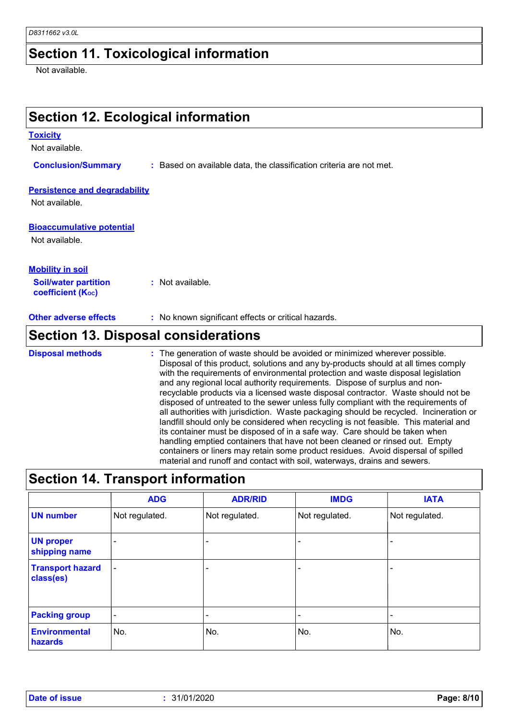### **Section 11. Toxicological information**

Not available.

### **Section 12. Ecological information**

#### **Toxicity**

Not available.

**Conclusion/Summary :** Based on available data, the classification criteria are not met.

#### **Persistence and degradability**

Not available.

#### **Bioaccumulative potential**

Not available.

| <b>Mobility in soil</b>                                 |                  |
|---------------------------------------------------------|------------------|
| <b>Soil/water partition</b><br><b>coefficient (Koc)</b> | : Not available. |

**Other adverse effects** : No known significant effects or critical hazards.

### **Section 13. Disposal considerations**

The generation of waste should be avoided or minimized wherever possible. Disposal of this product, solutions and any by-products should at all times comply with the requirements of environmental protection and waste disposal legislation and any regional local authority requirements. Dispose of surplus and nonrecyclable products via a licensed waste disposal contractor. Waste should not be disposed of untreated to the sewer unless fully compliant with the requirements of all authorities with jurisdiction. Waste packaging should be recycled. Incineration or landfill should only be considered when recycling is not feasible. This material and its container must be disposed of in a safe way. Care should be taken when handling emptied containers that have not been cleaned or rinsed out. Empty containers or liners may retain some product residues. Avoid dispersal of spilled material and runoff and contact with soil, waterways, drains and sewers. **Disposal methods :**

### **Section 14. Transport information**

|                                      | <b>ADG</b>               | <b>ADR/RID</b>           | <b>IMDG</b>              | <b>IATA</b>    |
|--------------------------------------|--------------------------|--------------------------|--------------------------|----------------|
| <b>UN number</b>                     | Not regulated.           | Not regulated.           | Not regulated.           | Not regulated. |
| <b>UN proper</b><br>shipping name    | $\overline{\phantom{0}}$ |                          |                          |                |
| <b>Transport hazard</b><br>class(es) | $\overline{\phantom{a}}$ | $\overline{\phantom{0}}$ | $\overline{\phantom{a}}$ |                |
| <b>Packing group</b>                 | $\overline{\phantom{a}}$ | $\overline{\phantom{0}}$ |                          |                |
| <b>Environmental</b><br>hazards      | No.                      | No.                      | No.                      | No.            |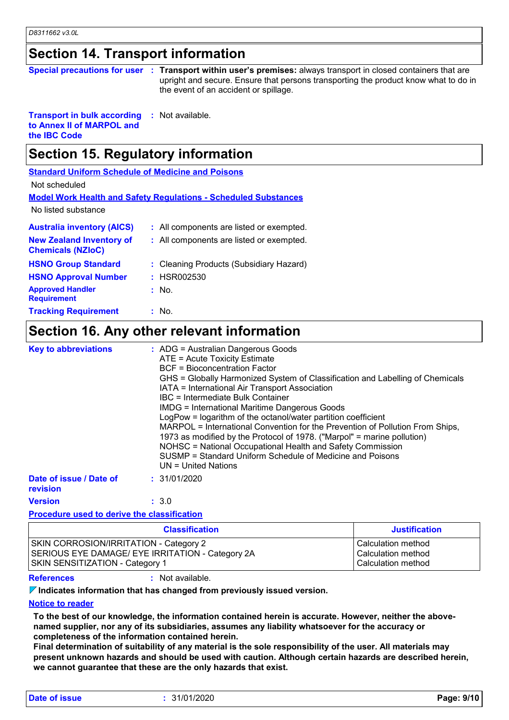#### **Section 14. Transport information**

| Special precautions for user : Transport within user's p |  |  |
|----------------------------------------------------------|--|--|
|----------------------------------------------------------|--|--|

remises: always transport in closed containers that are upright and secure. Ensure that persons transporting the product know what to do in the event of an accident or spillage.

**Transport in bulk according to Annex II of MARPOL and the IBC Code :** Not available.

### **Section 15. Regulatory information**

**Standard Uniform Schedule of Medicine and Poisons**

Not scheduled

| Model Work Health and Safety Regulations - Scheduled Substances |
|-----------------------------------------------------------------|
|-----------------------------------------------------------------|

No listed substance

| <b>Australia inventory (AICS)</b>                           | : All components are listed or exempted. |
|-------------------------------------------------------------|------------------------------------------|
| <b>New Zealand Inventory of</b><br><b>Chemicals (NZIoC)</b> | : All components are listed or exempted. |
| <b>HSNO Group Standard</b>                                  | : Cleaning Products (Subsidiary Hazard)  |
| <b>HSNO Approval Number</b>                                 | : HSR002530                              |
| <b>Approved Handler</b><br><b>Requirement</b>               | : No.                                    |
| <b>Tracking Requirement</b>                                 | : No.                                    |

### **Section 16. Any other relevant information**

| <b>Key to abbreviations</b>         | : ADG = Australian Dangerous Goods<br>ATE = Acute Toxicity Estimate<br><b>BCF</b> = Bioconcentration Factor<br>GHS = Globally Harmonized System of Classification and Labelling of Chemicals<br>IATA = International Air Transport Association<br>IBC = Intermediate Bulk Container<br><b>IMDG = International Maritime Dangerous Goods</b><br>LogPow = logarithm of the octanol/water partition coefficient<br>MARPOL = International Convention for the Prevention of Pollution From Ships,<br>1973 as modified by the Protocol of 1978. ("Marpol" = marine pollution)<br>NOHSC = National Occupational Health and Safety Commission<br>SUSMP = Standard Uniform Schedule of Medicine and Poisons<br>$UN = United Nations$ |
|-------------------------------------|------------------------------------------------------------------------------------------------------------------------------------------------------------------------------------------------------------------------------------------------------------------------------------------------------------------------------------------------------------------------------------------------------------------------------------------------------------------------------------------------------------------------------------------------------------------------------------------------------------------------------------------------------------------------------------------------------------------------------|
| Date of issue / Date of<br>revision | : 31/01/2020                                                                                                                                                                                                                                                                                                                                                                                                                                                                                                                                                                                                                                                                                                                 |
| <b>Version</b>                      | : 3.0                                                                                                                                                                                                                                                                                                                                                                                                                                                                                                                                                                                                                                                                                                                        |

#### **Procedure used to derive the classification**

| <b>Classification</b>                            | <b>Justification</b> |
|--------------------------------------------------|----------------------|
| <b>SKIN CORROSION/IRRITATION - Category 2</b>    | Calculation method   |
| SERIOUS EYE DAMAGE/ EYE IRRITATION - Category 2A | Calculation method   |
| <b>SKIN SENSITIZATION - Category 1</b>           | Calculation method   |

**References :** Not available.

**Indicates information that has changed from previously issued version.**

#### **Notice to reader**

**To the best of our knowledge, the information contained herein is accurate. However, neither the abovenamed supplier, nor any of its subsidiaries, assumes any liability whatsoever for the accuracy or completeness of the information contained herein.**

**Final determination of suitability of any material is the sole responsibility of the user. All materials may present unknown hazards and should be used with caution. Although certain hazards are described herein, we cannot guarantee that these are the only hazards that exist.**